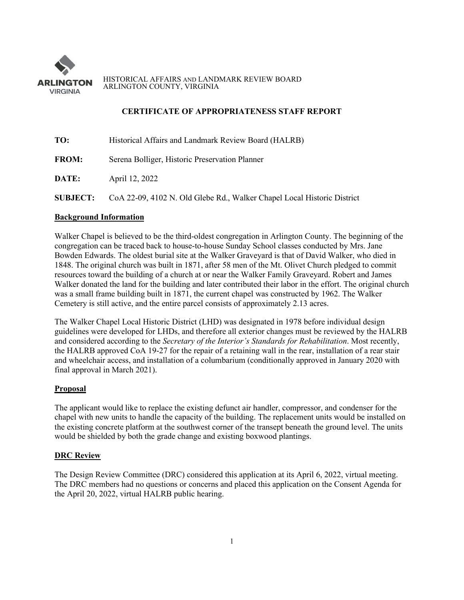

HISTORICAL AFFAIRS AND LANDMARK REVIEW BOARD ARLINGTON COUNTY, VIRGINIA

## **CERTIFICATE OF APPROPRIATENESS STAFF REPORT**

| TO:             | Historical Affairs and Landmark Review Board (HALRB)                    |
|-----------------|-------------------------------------------------------------------------|
| <b>FROM:</b>    | Serena Bolliger, Historic Preservation Planner                          |
| DATE:           | April 12, 2022                                                          |
| <b>SUBJECT:</b> | CoA 22-09, 4102 N. Old Glebe Rd., Walker Chapel Local Historic District |

# **Background Information**

Walker Chapel is believed to be the third-oldest congregation in Arlington County. The beginning of the congregation can be traced back to house-to-house Sunday School classes conducted by Mrs. Jane Bowden Edwards. The oldest burial site at the Walker Graveyard is that of David Walker, who died in 1848. The original church was built in 1871, after 58 men of the Mt. Olivet Church pledged to commit resources toward the building of a church at or near the Walker Family Graveyard. Robert and James Walker donated the land for the building and later contributed their labor in the effort. The original church was a small frame building built in 1871, the current chapel was constructed by 1962. The Walker Cemetery is still active, and the entire parcel consists of approximately 2.13 acres.

The Walker Chapel Local Historic District (LHD) was designated in 1978 before individual design guidelines were developed for LHDs, and therefore all exterior changes must be reviewed by the HALRB and considered according to the *Secretary of the Interior's Standards for Rehabilitation*. Most recently, the HALRB approved CoA 19-27 for the repair of a retaining wall in the rear, installation of a rear stair and wheelchair access, and installation of a columbarium (conditionally approved in January 2020 with final approval in March 2021).

## **Proposal**

The applicant would like to replace the existing defunct air handler, compressor, and condenser for the chapel with new units to handle the capacity of the building. The replacement units would be installed on the existing concrete platform at the southwest corner of the transept beneath the ground level. The units would be shielded by both the grade change and existing boxwood plantings.

## **DRC Review**

The Design Review Committee (DRC) considered this application at its April 6, 2022, virtual meeting. The DRC members had no questions or concerns and placed this application on the Consent Agenda for the April 20, 2022, virtual HALRB public hearing.